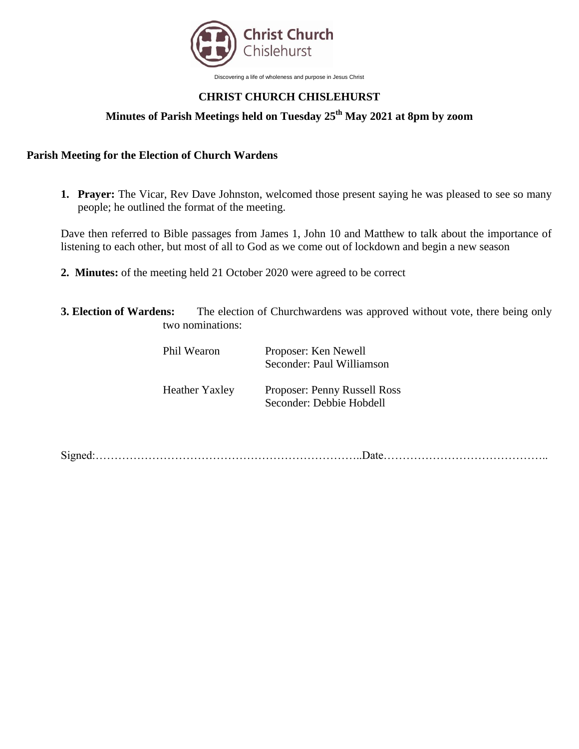

Discovering a life of wholeness and purpose in Jesus Christ

## **CHRIST CHURCH CHISLEHURST**

# **Minutes of Parish Meetings held on Tuesday 25th May 2021 at 8pm by zoom**

#### **Parish Meeting for the Election of Church Wardens**

**1. Prayer:** The Vicar, Rev Dave Johnston, welcomed those present saying he was pleased to see so many people; he outlined the format of the meeting.

Dave then referred to Bible passages from James 1, John 10 and Matthew to talk about the importance of listening to each other, but most of all to God as we come out of lockdown and begin a new season

- **2. Minutes:** of the meeting held 21 October 2020 were agreed to be correct
- **3. Election of Wardens:** The election of Churchwardens was approved without vote, there being only two nominations:

| Phil Wearon           | Proposer: Ken Newell<br>Seconder: Paul Williamson               |
|-----------------------|-----------------------------------------------------------------|
| <b>Heather Yaxley</b> | <b>Proposer: Penny Russell Ross</b><br>Seconder: Debbie Hobdell |

Signed:……………………………………………………………..Date……………………………………..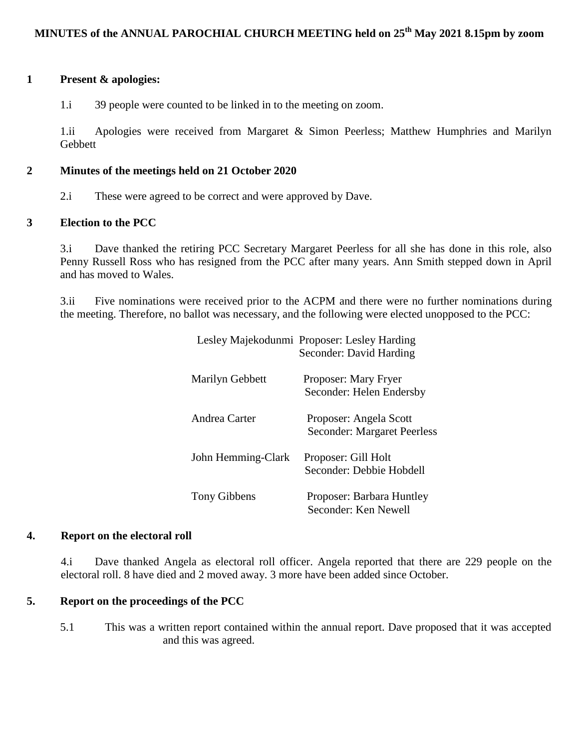#### **1 Present & apologies:**

1.i 39 people were counted to be linked in to the meeting on zoom.

1.ii Apologies were received from Margaret & Simon Peerless; Matthew Humphries and Marilyn Gebbett

#### **2 Minutes of the meetings held on 21 October 2020**

2.i These were agreed to be correct and were approved by Dave.

#### **3 Election to the PCC**

3.i Dave thanked the retiring PCC Secretary Margaret Peerless for all she has done in this role, also Penny Russell Ross who has resigned from the PCC after many years. Ann Smith stepped down in April and has moved to Wales.

3.ii Five nominations were received prior to the ACPM and there were no further nominations during the meeting. Therefore, no ballot was necessary, and the following were elected unopposed to the PCC:

|                    | Lesley Majekodunmi Proposer: Lesley Harding<br>Seconder: David Harding |
|--------------------|------------------------------------------------------------------------|
| Marilyn Gebbett    | Proposer: Mary Fryer<br>Seconder: Helen Endersby                       |
| Andrea Carter      | Proposer: Angela Scott<br><b>Seconder: Margaret Peerless</b>           |
| John Hemming-Clark | Proposer: Gill Holt<br>Seconder: Debbie Hobdell                        |
| Tony Gibbens       | Proposer: Barbara Huntley<br>Seconder: Ken Newell                      |

#### **4. Report on the electoral roll**

4.i Dave thanked Angela as electoral roll officer. Angela reported that there are 229 people on the electoral roll. 8 have died and 2 moved away. 3 more have been added since October.

#### **5. Report on the proceedings of the PCC**

5.1 This was a written report contained within the annual report. Dave proposed that it was accepted and this was agreed.